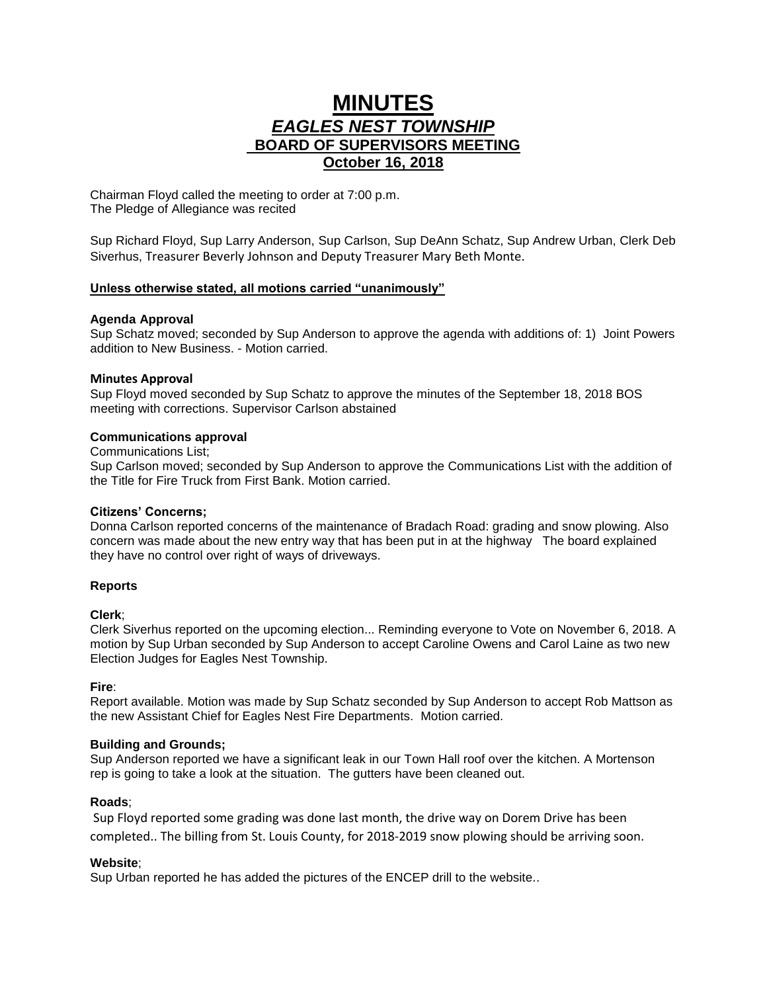# **MINUTES** *EAGLES NEST TOWNSHIP*  **BOARD OF SUPERVISORS MEETING October 16, 2018**

Chairman Floyd called the meeting to order at 7:00 p.m. The Pledge of Allegiance was recited

Sup Richard Floyd, Sup Larry Anderson, Sup Carlson, Sup DeAnn Schatz, Sup Andrew Urban, Clerk Deb Siverhus, Treasurer Beverly Johnson and Deputy Treasurer Mary Beth Monte.

# **Unless otherwise stated, all motions carried "unanimously"**

## **Agenda Approval**

Sup Schatz moved; seconded by Sup Anderson to approve the agenda with additions of: 1) Joint Powers addition to New Business. - Motion carried.

## **Minutes Approval**

Sup Floyd moved seconded by Sup Schatz to approve the minutes of the September 18, 2018 BOS meeting with corrections. Supervisor Carlson abstained

# **Communications approval**

#### Communications List;

Sup Carlson moved; seconded by Sup Anderson to approve the Communications List with the addition of the Title for Fire Truck from First Bank. Motion carried.

## **Citizens' Concerns;**

Donna Carlson reported concerns of the maintenance of Bradach Road: grading and snow plowing. Also concern was made about the new entry way that has been put in at the highway The board explained they have no control over right of ways of driveways.

## **Reports**

## **Clerk**;

Clerk Siverhus reported on the upcoming election... Reminding everyone to Vote on November 6, 2018. A motion by Sup Urban seconded by Sup Anderson to accept Caroline Owens and Carol Laine as two new Election Judges for Eagles Nest Township.

## **Fire**:

Report available. Motion was made by Sup Schatz seconded by Sup Anderson to accept Rob Mattson as the new Assistant Chief for Eagles Nest Fire Departments. Motion carried.

## **Building and Grounds;**

Sup Anderson reported we have a significant leak in our Town Hall roof over the kitchen. A Mortenson rep is going to take a look at the situation. The gutters have been cleaned out.

## **Roads**;

Sup Floyd reported some grading was done last month, the drive way on Dorem Drive has been completed.. The billing from St. Louis County, for 2018-2019 snow plowing should be arriving soon.

## **Website**;

Sup Urban reported he has added the pictures of the ENCEP drill to the website..